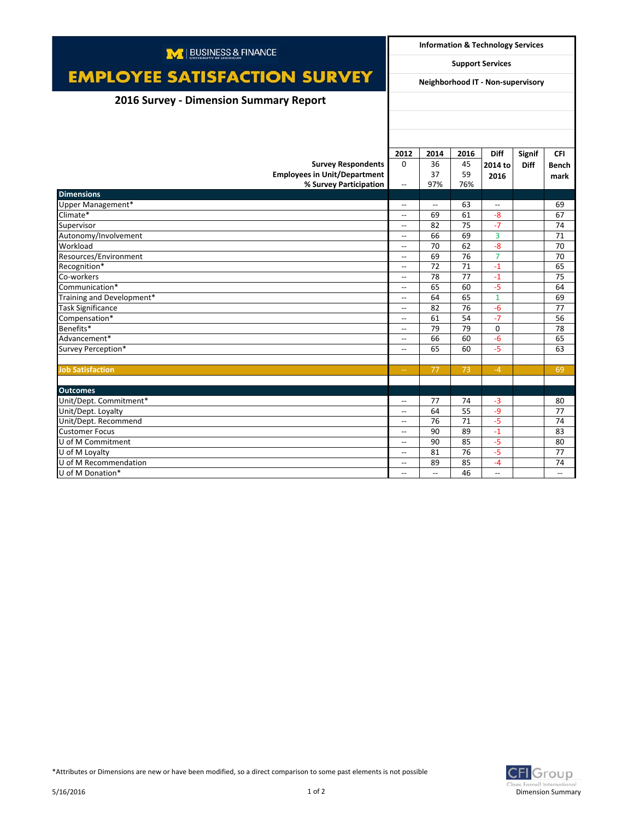| M   BUSINESS & FINANCE                 |                                                     | <b>Information &amp; Technology Services</b> |      |                          |               |                          |  |
|----------------------------------------|-----------------------------------------------------|----------------------------------------------|------|--------------------------|---------------|--------------------------|--|
|                                        | <b>Support Services</b>                             |                                              |      |                          |               |                          |  |
| <b>EMPLOYEE SATISFACTION SURVEY</b>    | Neighborhood IT - Non-supervisory                   |                                              |      |                          |               |                          |  |
| 2016 Survey - Dimension Summary Report |                                                     |                                              |      |                          |               |                          |  |
|                                        |                                                     |                                              |      |                          |               |                          |  |
|                                        |                                                     |                                              |      |                          |               |                          |  |
|                                        |                                                     |                                              |      |                          |               |                          |  |
|                                        | 2012                                                | 2014                                         | 2016 | <b>Diff</b>              | <b>Signif</b> | <b>CFI</b>               |  |
| <b>Survey Respondents</b>              | $\Omega$                                            | 36                                           | 45   | 2014 to                  | <b>Diff</b>   | <b>Bench</b>             |  |
| <b>Employees in Unit/Department</b>    |                                                     | 37                                           | 59   | 2016                     |               | mark                     |  |
| % Survey Participation                 | $\overline{\phantom{a}}$                            | 97%                                          | 76%  |                          |               |                          |  |
| <b>Dimensions</b>                      |                                                     |                                              |      |                          |               |                          |  |
| Upper Management*                      | $\overline{\phantom{a}}$                            | $\overline{\phantom{a}}$                     | 63   | $\overline{a}$           |               | 69                       |  |
| Climate*                               | $\overline{\phantom{a}}$                            | 69                                           | 61   | $-8$                     |               | 67                       |  |
| Supervisor                             | $\overline{\phantom{a}}$                            | 82                                           | 75   | $-7$                     |               | 74                       |  |
| Autonomy/Involvement                   | $\hspace{0.05cm} -\hspace{0.05cm} -\hspace{0.05cm}$ | 66                                           | 69   | 3                        |               | 71                       |  |
| Workload                               | $\overline{\phantom{a}}$                            | 70                                           | 62   | $-8$                     |               | 70                       |  |
| Resources/Environment                  | $\overline{\phantom{a}}$                            | 69                                           | 76   | $\overline{7}$           |               | 70                       |  |
| Recognition*                           | $\overline{\phantom{a}}$                            | 72                                           | 71   | $-1$                     |               | 65                       |  |
| Co-workers                             | $\overline{\phantom{a}}$                            | 78                                           | 77   | $-1$                     |               | 75                       |  |
| Communication*                         | $\overline{\phantom{a}}$                            | 65                                           | 60   | $-5$                     |               | 64                       |  |
| Training and Development*              | $\overline{\phantom{a}}$                            | 64                                           | 65   | $\mathbf{1}$             |               | 69                       |  |
| <b>Task Significance</b>               | $\overline{\phantom{0}}$                            | 82                                           | 76   | $-6$                     |               | 77                       |  |
| Compensation*                          | $\overline{\phantom{a}}$                            | 61                                           | 54   | $-7$                     |               | 56                       |  |
| Benefits*                              | $\overline{\phantom{a}}$                            | 79                                           | 79   | $\Omega$                 |               | 78                       |  |
| Advancement*                           | $\overline{\phantom{a}}$                            | 66                                           | 60   | $-6$                     |               | 65                       |  |
| Survey Perception*                     | $\overline{\phantom{0}}$                            | 65                                           | 60   | $-5$                     |               | 63                       |  |
|                                        |                                                     |                                              |      |                          |               |                          |  |
| <b>Job Satisfaction</b>                | $\sim$ $\sim$                                       | 77                                           | 73   | $-4$                     |               | 69                       |  |
|                                        |                                                     |                                              |      |                          |               |                          |  |
| <b>Outcomes</b>                        |                                                     |                                              |      |                          |               |                          |  |
| Unit/Dept. Commitment*                 | $\overline{\phantom{a}}$                            | 77                                           | 74   | $-3$                     |               | 80                       |  |
| Unit/Dept. Loyalty                     | $\overline{\phantom{a}}$                            | 64                                           | 55   | $-9$                     |               | 77                       |  |
| Unit/Dept. Recommend                   | $-$                                                 | 76                                           | 71   | $-5$                     |               | 74                       |  |
| <b>Customer Focus</b>                  | $\overline{\phantom{a}}$                            | 90                                           | 89   | $-1$                     |               | 83                       |  |
| U of M Commitment                      | $\overline{\phantom{a}}$                            | 90                                           | 85   | $-5$                     |               | 80                       |  |
| U of M Loyalty                         | $\overline{\phantom{a}}$                            | 81                                           | 76   | $-5$                     |               | 77                       |  |
| U of M Recommendation                  | $\overline{\phantom{a}}$                            | 89                                           | 85   | $-4$                     |               | 74                       |  |
| U of M Donation*                       | $\overline{\phantom{a}}$                            | $\overline{\phantom{a}}$                     | 46   | $\overline{\phantom{a}}$ |               | $\overline{\phantom{a}}$ |  |